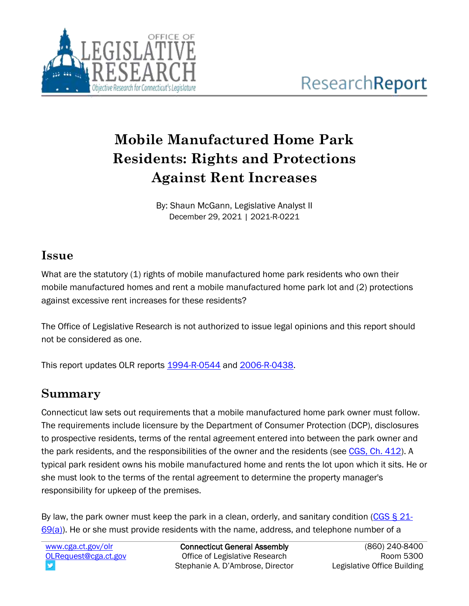

# **Mobile Manufactured Home Park Residents: Rights and Protections Against Rent Increases**

By: Shaun McGann, Legislative Analyst II December 29, 2021 | 2021-R-0221

### **Issue**

What are the statutory (1) rights of mobile manufactured home park residents who own their mobile manufactured homes and rent a mobile manufactured home park lot and (2) protections against excessive rent increases for these residents?

The Office of Legislative Research is not authorized to issue legal opinions and this report should not be considered as one.

This report updates OLR reports [1994-R-0544](https://www.cga.ct.gov/PS94/rpt/olr/htm/94-R-0544.htm) and [2006-R-0438.](https://www.cga.ct.gov/2006/rpt/2006-R-0438.htm)

# **Summary**

Connecticut law sets out requirements that a mobile manufactured home park owner must follow. The requirements include licensure by the Department of Consumer Protection (DCP), disclosures to prospective residents, terms of the rental agreement entered into between the park owner and the park residents, and the responsibilities of the owner and the residents (see [CGS, Ch. 412\)](https://www.cga.ct.gov/current/pub/chap_412.htm). A typical park resident owns his mobile manufactured home and rents the lot upon which it sits. He or she must look to the terms of the rental agreement to determine the property manager's responsibility for upkeep of the premises.

By law, the park owner must keep the park in a clean, orderly, and sanitary condition (CGS  $\S 21$ - $69(a)$ ). He or she must provide residents with the name, address, and telephone number of a

[www.cga.ct.gov/olr](http://www.cga.ct.gov/olr) [OLRequest@cga.ct.gov](mailto:OLRequest@cga.ct.gov)

Connecticut General Assembly Office of Legislative Research Stephanie A. D'Ambrose, Director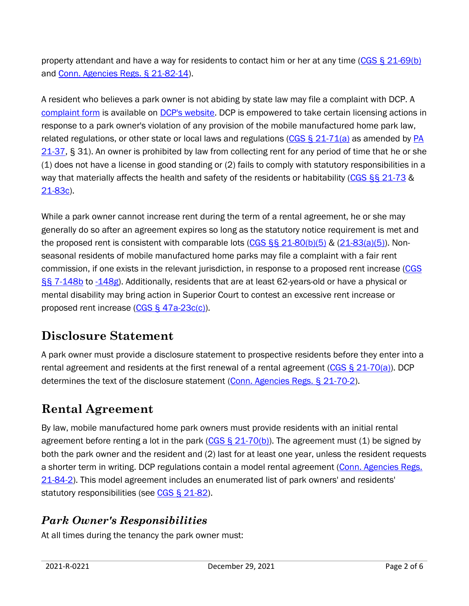property attendant and have a way for residents to contact him or her at any time [\(CGS § 21-69\(b\)](https://www.cga.ct.gov/current/pub/chap_412.htm#sec_21-69) and [Conn. Agencies Regs. § 21-82-14\)](https://eregulations.ct.gov/eRegsPortal/Browse/RCSA/Title_21Subtitle_21-82Section_21-82-14/).

A resident who believes a park owner is not abiding by state law may file a complaint with DCP. A [complaint form](https://portal.ct.gov/DCP/Complaint-Center/Complaint-Forms-and-Procedures) is available on [DCP's website.](https://portal.ct.gov/DCP/Occupational-and-Professional-Division/Occupational--Profess/Mobile-Manufactured-Homes) DCP is empowered to take certain licensing actions in response to a park owner's violation of any provision of the mobile manufactured home park law, related regulations, or other state or local laws and regulations ( $CGS \le 21-71(a)$ ) as amended by  $PA$ [21-37,](https://www.cga.ct.gov/asp/cgabillstatus/cgabillstatus.asp?which_year=2021&selBillType=Public+Act&bill_num=37) § 31). An owner is prohibited by law from collecting rent for any period of time that he or she (1) does not have a license in good standing or (2) fails to comply with statutory responsibilities in a way that materially affects the health and safety of the residents or habitability [\(CGS §§ 21-73](https://www.cga.ct.gov/current/pub/chap_412.htm#sec_21-73) & [21-83c\)](https://www.cga.ct.gov/current/pub/chap_412.htm#sec_21-83c).

While a park owner cannot increase rent during the term of a rental agreement, he or she may generally do so after an agreement expires so long as the statutory notice requirement is met and the proposed rent is consistent with comparable lots  $(CGS S S 21-80(b)(5)$  &  $(21-83(a)(5))$ . Nonseasonal residents of mobile manufactured home parks may file a complaint with a fair rent commission, if one exists in the relevant jurisdiction, in response to a proposed rent increase (CGS [§§ 7-148b](https://www.cga.ct.gov/current/pub/chap_098.htm#sec_7-148b) to [-148g\)](https://www.cga.ct.gov/current/pub/chap_098.htm#sec_7-148g). Additionally, residents that are at least 62-years-old or have a physical or mental disability may bring action in Superior Court to contest an excessive rent increase or proposed rent increase [\(CGS § 47a-23c\(c\)\)](https://www.cga.ct.gov/current/pub/chap_832.htm#sec_47a-23c).

# **Disclosure Statement**

A park owner must provide a disclosure statement to prospective residents before they enter into a rental agreement and residents at the first renewal of a rental agreement [\(CGS § 21-70\(a\)\)](https://www.cga.ct.gov/current/pub/chap_412.htm#sec_21-70). DCP determines the text of the disclosure statement [\(Conn. Agencies Regs. § 21-70-2\)](https://eregulations.ct.gov/eRegsPortal/Browse/RCSA/Title_21Subtitle_21-70Section_21-70-2/).

# **Rental Agreement**

By law, mobile manufactured home park owners must provide residents with an initial rental agreement before renting a lot in the park  $(CGS S 21-70(b))$ . The agreement must (1) be signed by both the park owner and the resident and (2) last for at least one year, unless the resident requests a shorter term in writing. DCP regulations contain a model rental agreement (Conn. Agencies Regs. [21-84-2\)](https://eregulations.ct.gov/eRegsPortal/Browse/RCSA/Title_21Subtitle_21-84Section_21-84-2/). This model agreement includes an enumerated list of park owners' and residents' statutory responsibilities (see [CGS § 21-82\)](https://www.cga.ct.gov/current/pub/chap_412.htm#sec_21-82).

# *Park Owner's Responsibilities*

At all times during the tenancy the park owner must: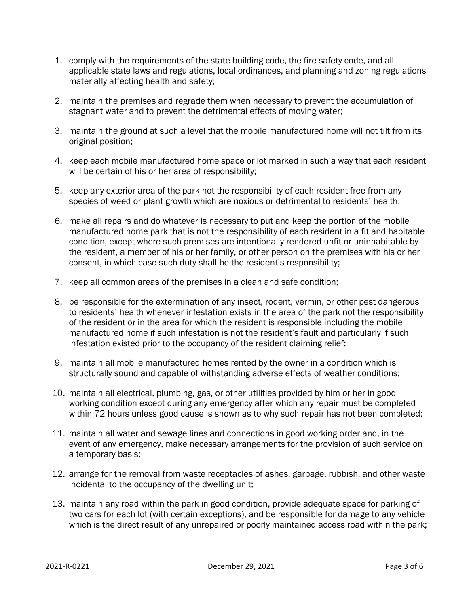- 1. comply with the requirements of the state building code, the fire safety code, and all applicable state laws and regulations, local ordinances, and planning and zoning regulations materially affecting health and safety;
- 2. maintain the premises and regrade them when necessary to prevent the accumulation of stagnant water and to prevent the detrimental effects of moving water;
- 3. maintain the ground at such a level that the mobile manufactured home will not tilt from its original position;
- 4. keep each mobile manufactured home space or lot marked in such a way that each resident will be certain of his or her area of responsibility;
- 5. keep any exterior area of the park not the responsibility of each resident free from any species of weed or plant growth which are noxious or detrimental to residents' health;
- 6. make all repairs and do whatever is necessary to put and keep the portion of the mobile manufactured home park that is not the responsibility of each resident in a fit and habitable condition, except where such premises are intentionally rendered unfit or uninhabitable by the resident, a member of his or her family, or other person on the premises with his or her consent, in which case such duty shall be the resident's responsibility;
- 7. keep all common areas of the premises in a clean and safe condition;
- 8. be responsible for the extermination of any insect, rodent, vermin, or other pest dangerous to residents' health whenever infestation exists in the area of the park not the responsibility of the resident or in the area for which the resident is responsible including the mobile manufactured home if such infestation is not the resident's fault and particularly if such infestation existed prior to the occupancy of the resident claiming relief;
- 9. maintain all mobile manufactured homes rented by the owner in a condition which is structurally sound and capable of withstanding adverse effects of weather conditions;
- 10. maintain all electrical, plumbing, gas, or other utilities provided by him or her in good working condition except during any emergency after which any repair must be completed within 72 hours unless good cause is shown as to why such repair has not been completed;
- 11. maintain all water and sewage lines and connections in good working order and, in the event of any emergency, make necessary arrangements for the provision of such service on a temporary basis;
- 12. arrange for the removal from waste receptacles of ashes, garbage, rubbish, and other waste incidental to the occupancy of the dwelling unit;
- 13. maintain any road within the park in good condition, provide adequate space for parking of two cars for each lot (with certain exceptions), and be responsible for damage to any vehicle which is the direct result of any unrepaired or poorly maintained access road within the park;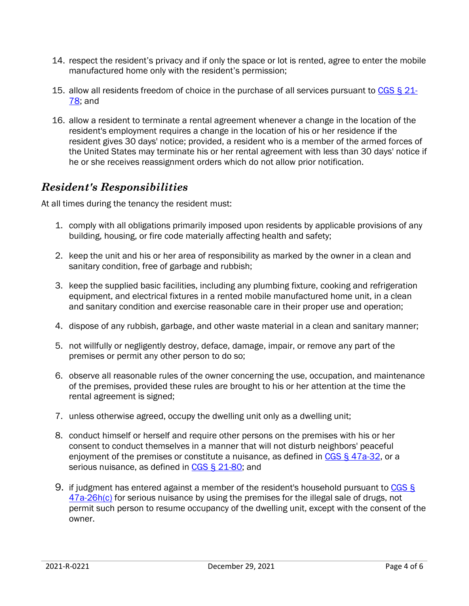- 14. respect the resident's privacy and if only the space or lot is rented, agree to enter the mobile manufactured home only with the resident's permission;
- 15. allow all residents freedom of choice in the purchase of all services pursuant to [CGS § 21-](https://www.cga.ct.gov/current/pub/chap_412.htm#sec_21-78) [78;](https://www.cga.ct.gov/current/pub/chap_412.htm#sec_21-78) and
- 16. allow a resident to terminate a rental agreement whenever a change in the location of the resident's employment requires a change in the location of his or her residence if the resident gives 30 days' notice; provided, a resident who is a member of the armed forces of the United States may terminate his or her rental agreement with less than 30 days' notice if he or she receives reassignment orders which do not allow prior notification.

#### *Resident's Responsibilities*

At all times during the tenancy the resident must:

- 1. comply with all obligations primarily imposed upon residents by applicable provisions of any building, housing, or fire code materially affecting health and safety;
- 2. keep the unit and his or her area of responsibility as marked by the owner in a clean and sanitary condition, free of garbage and rubbish;
- 3. keep the supplied basic facilities, including any plumbing fixture, cooking and refrigeration equipment, and electrical fixtures in a rented mobile manufactured home unit, in a clean and sanitary condition and exercise reasonable care in their proper use and operation;
- 4. dispose of any rubbish, garbage, and other waste material in a clean and sanitary manner;
- 5. not willfully or negligently destroy, deface, damage, impair, or remove any part of the premises or permit any other person to do so;
- 6. observe all reasonable rules of the owner concerning the use, occupation, and maintenance of the premises, provided these rules are brought to his or her attention at the time the rental agreement is signed;
- 7. unless otherwise agreed, occupy the dwelling unit only as a dwelling unit;
- 8. conduct himself or herself and require other persons on the premises with his or her consent to conduct themselves in a manner that will not disturb neighbors' peaceful enjoyment of the premises or constitute a nuisance, as defined in CGS  $\S$  47a-32, or a serious nuisance, as defined in [CGS § 21-80;](https://www.cga.ct.gov/current/pub/chap_412.htm#sec_21-80) and
- 9. if judgment has entered against a member of the resident's household pursuant to CGS § [47a-26h\(c\)](https://www.cga.ct.gov/current/pub/chap_832.htm#sec_47a-26h) for serious nuisance by using the premises for the illegal sale of drugs, not permit such person to resume occupancy of the dwelling unit, except with the consent of the owner.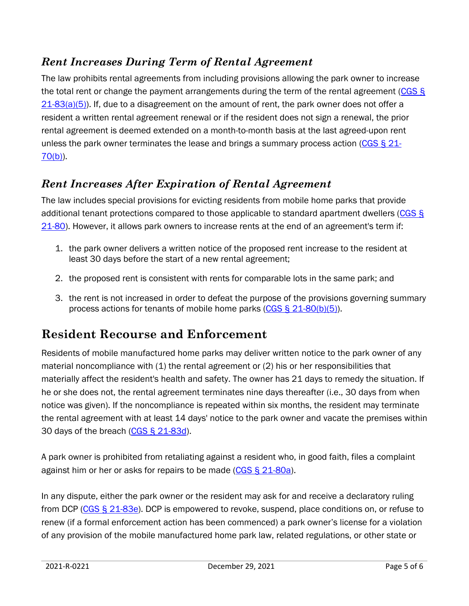### *Rent Increases During Term of Rental Agreement*

The law prohibits rental agreements from including provisions allowing the park owner to increase the total rent or change the payment arrangements during the term of the rental agreement (CGS §  $21-83(a)(5)$ ). If, due to a disagreement on the amount of rent, the park owner does not offer a resident a written rental agreement renewal or if the resident does not sign a renewal, the prior rental agreement is deemed extended on a month-to-month basis at the last agreed-upon rent unless the park owner terminates the lease and brings a summary process action [\(CGS § 21-](https://www.cga.ct.gov/current/pub/chap_412.htm#sec_21-70) [70\(b\)\)](https://www.cga.ct.gov/current/pub/chap_412.htm#sec_21-70).

# *Rent Increases After Expiration of Rental Agreement*

The law includes special provisions for evicting residents from mobile home parks that provide additional tenant protections compared to those applicable to standard apartment dwellers (CGS § [21-80\)](https://www.cga.ct.gov/current/pub/chap_412.htm#sec_21-80). However, it allows park owners to increase rents at the end of an agreement's term if:

- 1. the park owner delivers a written notice of the proposed rent increase to the resident at least 30 days before the start of a new rental agreement;
- 2. the proposed rent is consistent with rents for comparable lots in the same park; and
- 3. the rent is not increased in order to defeat the purpose of the provisions governing summary process actions for tenants of mobile home parks  $(CGS \S 21-80(b)(5))$ .

# **Resident Recourse and Enforcement**

Residents of mobile manufactured home parks may deliver written notice to the park owner of any material noncompliance with  $(1)$  the rental agreement or  $(2)$  his or her responsibilities that materially affect the resident's health and safety. The owner has 21 days to remedy the situation. If he or she does not, the rental agreement terminates nine days thereafter (i.e., 30 days from when notice was given). If the noncompliance is repeated within six months, the resident may terminate the rental agreement with at least 14 days' notice to the park owner and vacate the premises within 30 days of the breach [\(CGS § 21-83d\)](https://www.cga.ct.gov/current/pub/chap_412.htm#sec_21-83d).

A park owner is prohibited from retaliating against a resident who, in good faith, files a complaint against him or her or asks for repairs to be made [\(CGS § 21-80a\)](https://www.cga.ct.gov/current/pub/chap_412.htm#sec_21-80a).

In any dispute, either the park owner or the resident may ask for and receive a declaratory ruling from DCP [\(CGS § 21-83e\)](https://www.cga.ct.gov/current/pub/chap_412.htm#sec_21-83e). DCP is empowered to revoke, suspend, place conditions on, or refuse to renew (if a formal enforcement action has been commenced) a park owner's license for a violation of any provision of the mobile manufactured home park law, related regulations, or other state or